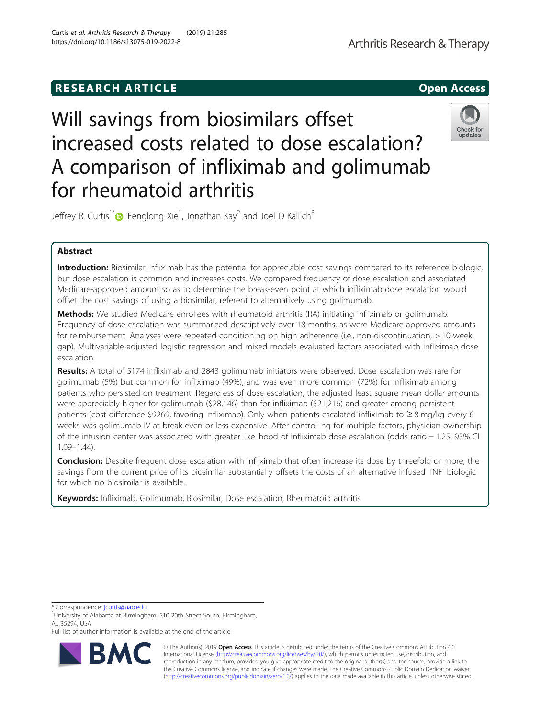# **RESEARCH ARTICLE Example 20 and 20 and 20 and 20 and 20 and 20 and 20 and 20 and 20 and 20 and 20 and 20 and 20 and 20 and 20 and 20 and 20 and 20 and 20 and 20 and 20 and 20 and 20 and 20 and 20 and 20 and 20 and 20 an**

# Will savings from biosimilars offset increased costs related to dose escalation? A comparison of infliximab and golimumab for rheumatoid arthritis

Jeffrey R. Curtis<sup>1\*</sup> [,](http://orcid.org/0000-0002-8907-8976) Fenglong Xie<sup>1</sup>, Jonathan Kay<sup>2</sup> and Joel D Kallich<sup>3</sup>

# Abstract

Introduction: Biosimilar infliximab has the potential for appreciable cost savings compared to its reference biologic, but dose escalation is common and increases costs. We compared frequency of dose escalation and associated Medicare-approved amount so as to determine the break-even point at which infliximab dose escalation would offset the cost savings of using a biosimilar, referent to alternatively using golimumab.

**Methods:** We studied Medicare enrollees with rheumatoid arthritis (RA) initiating infliximab or golimumab. Frequency of dose escalation was summarized descriptively over 18 months, as were Medicare-approved amounts for reimbursement. Analyses were repeated conditioning on high adherence (i.e., non-discontinuation, > 10-week gap). Multivariable-adjusted logistic regression and mixed models evaluated factors associated with infliximab dose escalation.

Results: A total of 5174 infliximab and 2843 golimumab initiators were observed. Dose escalation was rare for golimumab (5%) but common for infliximab (49%), and was even more common (72%) for infliximab among patients who persisted on treatment. Regardless of dose escalation, the adjusted least square mean dollar amounts were appreciably higher for golimumab (\$28,146) than for infliximab (\$21,216) and greater among persistent patients (cost difference \$9269, favoring infliximab). Only when patients escalated infliximab to ≥ 8 mg/kg every 6 weeks was golimumab IV at break-even or less expensive. After controlling for multiple factors, physician ownership of the infusion center was associated with greater likelihood of infliximab dose escalation (odds ratio = 1.25, 95% CI 1.09–1.44).

**Conclusion:** Despite frequent dose escalation with infliximab that often increase its dose by threefold or more, the savings from the current price of its biosimilar substantially offsets the costs of an alternative infused TNFi biologic for which no biosimilar is available.

Keywords: Infliximab, Golimumab, Biosimilar, Dose escalation, Rheumatoid arthritis

\* Correspondence: [jcurtis@uab.edu](mailto:jcurtis@uab.edu) <sup>1</sup>

R

<sup>1</sup>University of Alabama at Birmingham, 510 20th Street South, Birmingham, AL 35294, USA

Full list of author information is available at the end of the article





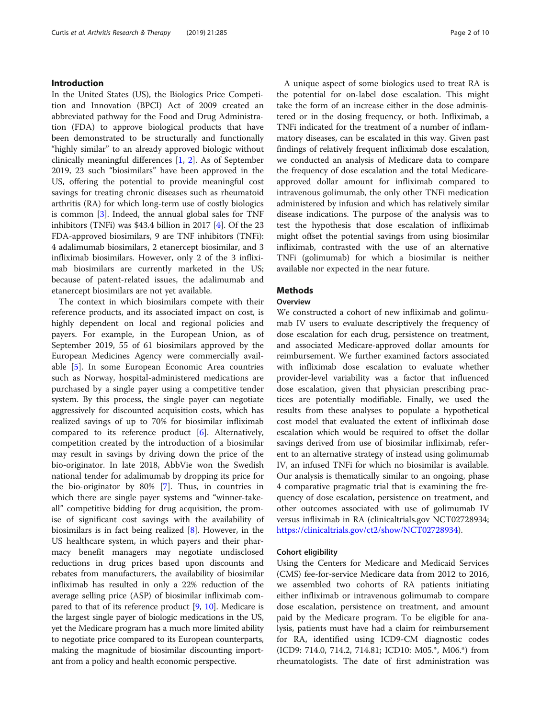# Introduction

In the United States (US), the Biologics Price Competition and Innovation (BPCI) Act of 2009 created an abbreviated pathway for the Food and Drug Administration (FDA) to approve biological products that have been demonstrated to be structurally and functionally "highly similar" to an already approved biologic without clinically meaningful differences [\[1](#page-9-0), [2\]](#page-9-0). As of September 2019, 23 such "biosimilars" have been approved in the US, offering the potential to provide meaningful cost savings for treating chronic diseases such as rheumatoid arthritis (RA) for which long-term use of costly biologics is common [[3\]](#page-9-0). Indeed, the annual global sales for TNF inhibitors (TNFi) was \$43.4 billion in 2017 [\[4](#page-9-0)]. Of the 23 FDA-approved biosimilars, 9 are TNF inhibitors (TNFi): 4 adalimumab biosimilars, 2 etanercept biosimilar, and 3 infliximab biosimilars. However, only 2 of the 3 infliximab biosimilars are currently marketed in the US; because of patent-related issues, the adalimumab and etanercept biosimilars are not yet available.

The context in which biosimilars compete with their reference products, and its associated impact on cost, is highly dependent on local and regional policies and payers. For example, in the European Union, as of September 2019, 55 of 61 biosimilars approved by the European Medicines Agency were commercially available [[5\]](#page-9-0). In some European Economic Area countries such as Norway, hospital-administered medications are purchased by a single payer using a competitive tender system. By this process, the single payer can negotiate aggressively for discounted acquisition costs, which has realized savings of up to 70% for biosimilar infliximab compared to its reference product [[6\]](#page-9-0). Alternatively, competition created by the introduction of a biosimilar may result in savings by driving down the price of the bio-originator. In late 2018, AbbVie won the Swedish national tender for adalimumab by dropping its price for the bio-originator by 80% [[7](#page-9-0)]. Thus, in countries in which there are single payer systems and "winner-takeall" competitive bidding for drug acquisition, the promise of significant cost savings with the availability of biosimilars is in fact being realized [[8](#page-9-0)]. However, in the US healthcare system, in which payers and their pharmacy benefit managers may negotiate undisclosed reductions in drug prices based upon discounts and rebates from manufacturers, the availability of biosimilar infliximab has resulted in only a 22% reduction of the average selling price (ASP) of biosimilar infliximab compared to that of its reference product [\[9,](#page-9-0) [10\]](#page-9-0). Medicare is the largest single payer of biologic medications in the US, yet the Medicare program has a much more limited ability to negotiate price compared to its European counterparts, making the magnitude of biosimilar discounting important from a policy and health economic perspective.

A unique aspect of some biologics used to treat RA is the potential for on-label dose escalation. This might take the form of an increase either in the dose administered or in the dosing frequency, or both. Infliximab, a TNFi indicated for the treatment of a number of inflammatory diseases, can be escalated in this way. Given past findings of relatively frequent infliximab dose escalation, we conducted an analysis of Medicare data to compare the frequency of dose escalation and the total Medicareapproved dollar amount for infliximab compared to intravenous golimumab, the only other TNFi medication administered by infusion and which has relatively similar disease indications. The purpose of the analysis was to test the hypothesis that dose escalation of infliximab might offset the potential savings from using biosimilar infliximab, contrasted with the use of an alternative TNFi (golimumab) for which a biosimilar is neither available nor expected in the near future.

# **Methods**

# Overview

We constructed a cohort of new infliximab and golimumab IV users to evaluate descriptively the frequency of dose escalation for each drug, persistence on treatment, and associated Medicare-approved dollar amounts for reimbursement. We further examined factors associated with infliximab dose escalation to evaluate whether provider-level variability was a factor that influenced dose escalation, given that physician prescribing practices are potentially modifiable. Finally, we used the results from these analyses to populate a hypothetical cost model that evaluated the extent of infliximab dose escalation which would be required to offset the dollar savings derived from use of biosimilar infliximab, referent to an alternative strategy of instead using golimumab IV, an infused TNFi for which no biosimilar is available. Our analysis is thematically similar to an ongoing, phase 4 comparative pragmatic trial that is examining the frequency of dose escalation, persistence on treatment, and other outcomes associated with use of golimumab IV versus infliximab in RA (clinicaltrials.gov NCT02728934; <https://clinicaltrials.gov/ct2/show/NCT02728934>).

# Cohort eligibility

Using the Centers for Medicare and Medicaid Services (CMS) fee-for-service Medicare data from 2012 to 2016, we assembled two cohorts of RA patients initiating either infliximab or intravenous golimumab to compare dose escalation, persistence on treatment, and amount paid by the Medicare program. To be eligible for analysis, patients must have had a claim for reimbursement for RA, identified using ICD9-CM diagnostic codes (ICD9: 714.0, 714.2, 714.81; ICD10: M05.\*, M06.\*) from rheumatologists. The date of first administration was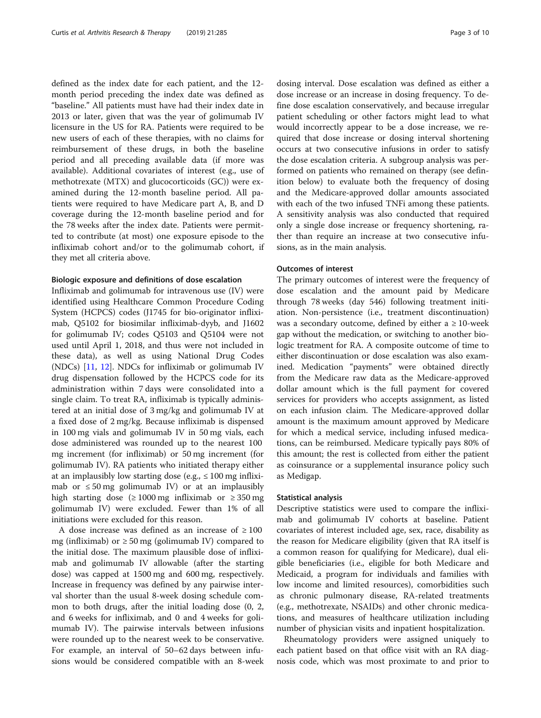defined as the index date for each patient, and the 12 month period preceding the index date was defined as "baseline." All patients must have had their index date in 2013 or later, given that was the year of golimumab IV licensure in the US for RA. Patients were required to be new users of each of these therapies, with no claims for reimbursement of these drugs, in both the baseline period and all preceding available data (if more was available). Additional covariates of interest (e.g., use of methotrexate (MTX) and glucocorticoids (GC)) were examined during the 12-month baseline period. All patients were required to have Medicare part A, B, and D coverage during the 12-month baseline period and for the 78 weeks after the index date. Patients were permitted to contribute (at most) one exposure episode to the infliximab cohort and/or to the golimumab cohort, if they met all criteria above.

#### Biologic exposure and definitions of dose escalation

Infliximab and golimumab for intravenous use (IV) were identified using Healthcare Common Procedure Coding System (HCPCS) codes (J1745 for bio-originator infliximab, Q5102 for biosimilar infliximab-dyyb, and J1602 for golimumab IV; codes Q5103 and Q5104 were not used until April 1, 2018, and thus were not included in these data), as well as using National Drug Codes (NDCs) [[11,](#page-9-0) [12](#page-9-0)]. NDCs for infliximab or golimumab IV drug dispensation followed by the HCPCS code for its administration within 7 days were consolidated into a single claim. To treat RA, infliximab is typically administered at an initial dose of 3 mg/kg and golimumab IV at a fixed dose of 2 mg/kg. Because infliximab is dispensed in 100 mg vials and golimumab IV in 50 mg vials, each dose administered was rounded up to the nearest 100 mg increment (for infliximab) or 50 mg increment (for golimumab IV). RA patients who initiated therapy either at an implausibly low starting dose (e.g.,  $\leq 100$  mg infliximab or  $\leq 50$  mg golimumab IV) or at an implausibly high starting dose  $(≥ 1000$  mg infliximab or  $≥ 350$  mg golimumab IV) were excluded. Fewer than 1% of all initiations were excluded for this reason.

A dose increase was defined as an increase of  $\geq 100$ mg (infliximab) or  $\geq 50$  mg (golimumab IV) compared to the initial dose. The maximum plausible dose of infliximab and golimumab IV allowable (after the starting dose) was capped at 1500 mg and 600 mg, respectively. Increase in frequency was defined by any pairwise interval shorter than the usual 8-week dosing schedule common to both drugs, after the initial loading dose (0, 2, and 6 weeks for infliximab, and 0 and 4 weeks for golimumab IV). The pairwise intervals between infusions were rounded up to the nearest week to be conservative. For example, an interval of 50–62 days between infusions would be considered compatible with an 8-week dosing interval. Dose escalation was defined as either a dose increase or an increase in dosing frequency. To define dose escalation conservatively, and because irregular patient scheduling or other factors might lead to what would incorrectly appear to be a dose increase, we required that dose increase or dosing interval shortening occurs at two consecutive infusions in order to satisfy the dose escalation criteria. A subgroup analysis was performed on patients who remained on therapy (see definition below) to evaluate both the frequency of dosing and the Medicare-approved dollar amounts associated with each of the two infused TNFi among these patients. A sensitivity analysis was also conducted that required only a single dose increase or frequency shortening, rather than require an increase at two consecutive infusions, as in the main analysis.

## Outcomes of interest

The primary outcomes of interest were the frequency of dose escalation and the amount paid by Medicare through 78 weeks (day 546) following treatment initiation. Non-persistence (i.e., treatment discontinuation) was a secondary outcome, defined by either  $a \ge 10$ -week gap without the medication, or switching to another biologic treatment for RA. A composite outcome of time to either discontinuation or dose escalation was also examined. Medication "payments" were obtained directly from the Medicare raw data as the Medicare-approved dollar amount which is the full payment for covered services for providers who accepts assignment, as listed on each infusion claim. The Medicare-approved dollar amount is the maximum amount approved by Medicare for which a medical service, including infused medications, can be reimbursed. Medicare typically pays 80% of this amount; the rest is collected from either the patient as coinsurance or a supplemental insurance policy such as Medigap.

# Statistical analysis

Descriptive statistics were used to compare the infliximab and golimumab IV cohorts at baseline. Patient covariates of interest included age, sex, race, disability as the reason for Medicare eligibility (given that RA itself is a common reason for qualifying for Medicare), dual eligible beneficiaries (i.e., eligible for both Medicare and Medicaid, a program for individuals and families with low income and limited resources), comorbidities such as chronic pulmonary disease, RA-related treatments (e.g., methotrexate, NSAIDs) and other chronic medications, and measures of healthcare utilization including number of physician visits and inpatient hospitalization.

Rheumatology providers were assigned uniquely to each patient based on that office visit with an RA diagnosis code, which was most proximate to and prior to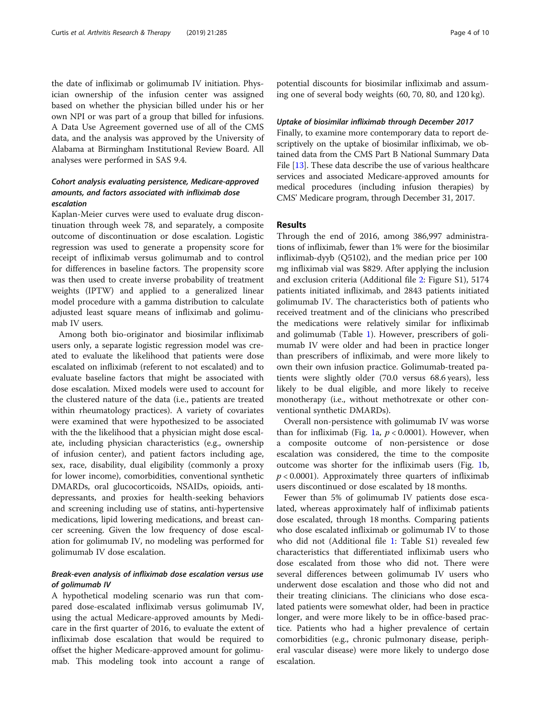the date of infliximab or golimumab IV initiation. Physician ownership of the infusion center was assigned based on whether the physician billed under his or her own NPI or was part of a group that billed for infusions. A Data Use Agreement governed use of all of the CMS data, and the analysis was approved by the University of Alabama at Birmingham Institutional Review Board. All analyses were performed in SAS 9.4.

# Cohort analysis evaluating persistence, Medicare-approved amounts, and factors associated with infliximab dose escalation

Kaplan-Meier curves were used to evaluate drug discontinuation through week 78, and separately, a composite outcome of discontinuation or dose escalation. Logistic regression was used to generate a propensity score for receipt of infliximab versus golimumab and to control for differences in baseline factors. The propensity score was then used to create inverse probability of treatment weights (IPTW) and applied to a generalized linear model procedure with a gamma distribution to calculate adjusted least square means of infliximab and golimumab IV users.

Among both bio-originator and biosimilar infliximab users only, a separate logistic regression model was created to evaluate the likelihood that patients were dose escalated on infliximab (referent to not escalated) and to evaluate baseline factors that might be associated with dose escalation. Mixed models were used to account for the clustered nature of the data (i.e., patients are treated within rheumatology practices). A variety of covariates were examined that were hypothesized to be associated with the the likelihood that a physician might dose escalate, including physician characteristics (e.g., ownership of infusion center), and patient factors including age, sex, race, disability, dual eligibility (commonly a proxy for lower income), comorbidities, conventional synthetic DMARDs, oral glucocorticoids, NSAIDs, opioids, antidepressants, and proxies for health-seeking behaviors and screening including use of statins, anti-hypertensive medications, lipid lowering medications, and breast cancer screening. Given the low frequency of dose escalation for golimumab IV, no modeling was performed for golimumab IV dose escalation.

# Break-even analysis of infliximab dose escalation versus use of golimumab IV

A hypothetical modeling scenario was run that compared dose-escalated infliximab versus golimumab IV, using the actual Medicare-approved amounts by Medicare in the first quarter of 2016, to evaluate the extent of infliximab dose escalation that would be required to offset the higher Medicare-approved amount for golimumab. This modeling took into account a range of

potential discounts for biosimilar infliximab and assuming one of several body weights (60, 70, 80, and 120 kg).

# Uptake of biosimilar infliximab through December 2017

Finally, to examine more contemporary data to report descriptively on the uptake of biosimilar infliximab, we obtained data from the CMS Part B National Summary Data File [[13](#page-9-0)]. These data describe the use of various healthcare services and associated Medicare-approved amounts for medical procedures (including infusion therapies) by CMS' Medicare program, through December 31, 2017.

# Results

Through the end of 2016, among 386,997 administrations of infliximab, fewer than 1% were for the biosimilar infliximab-dyyb (Q5102), and the median price per 100 mg infliximab vial was \$829. After applying the inclusion and exclusion criteria (Additional file [2](#page-8-0): Figure S1), 5174 patients initiated infliximab, and 2843 patients initiated golimumab IV. The characteristics both of patients who received treatment and of the clinicians who prescribed the medications were relatively similar for infliximab and golimumab (Table [1](#page-4-0)). However, prescribers of golimumab IV were older and had been in practice longer than prescribers of infliximab, and were more likely to own their own infusion practice. Golimumab-treated patients were slightly older (70.0 versus 68.6 years), less likely to be dual eligible, and more likely to receive monotherapy (i.e., without methotrexate or other conventional synthetic DMARDs).

Overall non-persistence with golimumab IV was worse than for infliximab (Fig. [1a](#page-5-0),  $p < 0.0001$ ). However, when a composite outcome of non-persistence or dose escalation was considered, the time to the composite outcome was shorter for the infliximab users (Fig. [1](#page-5-0)b,  $p < 0.0001$ ). Approximately three quarters of infliximab users discontinued or dose escalated by 18 months.

Fewer than 5% of golimumab IV patients dose escalated, whereas approximately half of infliximab patients dose escalated, through 18 months. Comparing patients who dose escalated infliximab or golimumab IV to those who did not (Additional file [1:](#page-8-0) Table S1) revealed few characteristics that differentiated infliximab users who dose escalated from those who did not. There were several differences between golimumab IV users who underwent dose escalation and those who did not and their treating clinicians. The clinicians who dose escalated patients were somewhat older, had been in practice longer, and were more likely to be in office-based practice. Patients who had a higher prevalence of certain comorbidities (e.g., chronic pulmonary disease, peripheral vascular disease) were more likely to undergo dose escalation.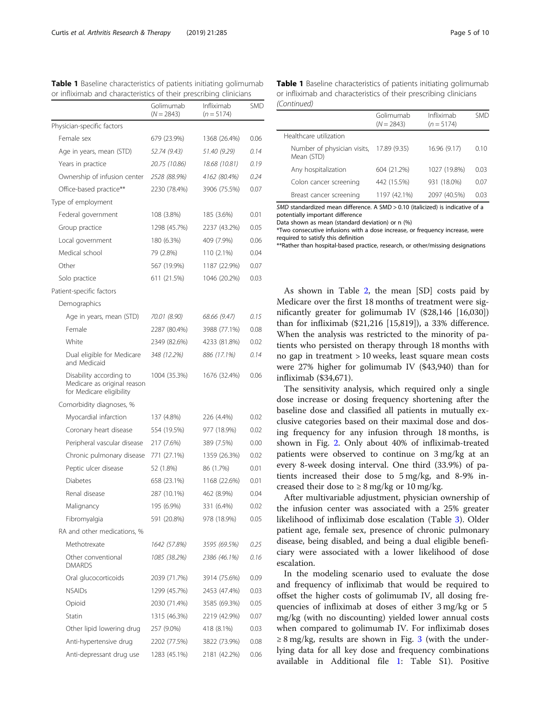<span id="page-4-0"></span>Table 1 Baseline characteristics of patients initiating golimumab

| or infliximab and characteristics of their prescribing clinicians                  |                           |                            |            |
|------------------------------------------------------------------------------------|---------------------------|----------------------------|------------|
|                                                                                    | Golimumab<br>$(N = 2843)$ | Infliximab<br>$(n = 5174)$ | <b>SMD</b> |
| Physician-specific factors                                                         |                           |                            |            |
| Female sex                                                                         | 679 (23.9%)               | 1368 (26.4%)               | 0.06       |
| Age in years, mean (STD)                                                           | 52.74 (9.43)              | 51.40 (9.29)               | 0.14       |
| Years in practice                                                                  | 20.75 (10.86)             | 18.68 (10.81)              | 0.19       |
| Ownership of infusion center                                                       | 2528 (88.9%)              | 4162 (80.4%)               | 0.24       |
| Office-based practice**                                                            | 2230 (78.4%)              | 3906 (75.5%)               | 0.07       |
| Type of employment                                                                 |                           |                            |            |
| Federal government                                                                 | 108 (3.8%)                | 185 (3.6%)                 | 0.01       |
| Group practice                                                                     | 1298 (45.7%)              | 2237 (43.2%)               | 0.05       |
| Local government                                                                   | 180 (6.3%)                | 409 (7.9%)                 | 0.06       |
| Medical school                                                                     | 79 (2.8%)                 | 110 (2.1%)                 | 0.04       |
| Other                                                                              | 567 (19.9%)               | 1187 (22.9%)               | 0.07       |
| Solo practice                                                                      | 611 (21.5%)               | 1046 (20.2%)               | 0.03       |
| Patient-specific factors                                                           |                           |                            |            |
| Demographics                                                                       |                           |                            |            |
| Age in years, mean (STD)                                                           | 70.01 (8.90)              | 68.66 (9.47)               | 0.15       |
| Female                                                                             | 2287 (80.4%)              | 3988 (77.1%)               | 0.08       |
| White                                                                              | 2349 (82.6%)              | 4233 (81.8%)               | 0.02       |
| Dual eligible for Medicare<br>and Medicaid                                         | 348 (12.2%)               | 886 (17.1%)                | 0.14       |
| Disability according to<br>Medicare as original reason<br>for Medicare eligibility | 1004 (35.3%)              | 1676 (32.4%)               | 0.06       |
| Comorbidity diagnoses, %                                                           |                           |                            |            |
| Myocardial infarction                                                              | 137 (4.8%)                | 226 (4.4%)                 | 0.02       |
| Coronary heart disease                                                             | 554 (19.5%)               | 977 (18.9%)                | 0.02       |
| Peripheral vascular disease                                                        | 217 (7.6%)                | 389 (7.5%)                 | 0.00       |
| Chronic pulmonary disease                                                          | 771 (27.1%)               | 1359 (26.3%)               | 0.02       |
| Peptic ulcer disease                                                               | 52 (1.8%)                 | 86 (1.7%)                  | 0.01       |
| Diabetes                                                                           | 658 (23.1%)               | 1168 (22.6%)               | 0.01       |
| Renal disease                                                                      | 287 (10.1%)               | 462 (8.9%)                 | 0.04       |
| Malignancy                                                                         | 195 (6.9%)                | 331 (6.4%)                 | 0.02       |
| Fibromyalgia                                                                       | 591 (20.8%)               | 978 (18.9%)                | 0.05       |
| RA and other medications, %                                                        |                           |                            |            |
| Methotrexate                                                                       | 1642 (57.8%)              | 3595 (69.5%)               | 0.25       |
| Other conventional<br><b>DMARDS</b>                                                | 1085 (38.2%)              | 2386 (46.1%)               | 0.16       |
| Oral glucocorticoids                                                               | 2039 (71.7%)              | 3914 (75.6%)               | 0.09       |
| <b>NSAIDs</b>                                                                      | 1299 (45.7%)              | 2453 (47.4%)               | 0.03       |
| Opioid                                                                             | 2030 (71.4%)              | 3585 (69.3%)               | 0.05       |
| Statin                                                                             | 1315 (46.3%)              | 2219 (42.9%)               | 0.07       |
| Other lipid lowering drug                                                          | 257 (9.0%)                | 418 (8.1%)                 | 0.03       |
| Anti-hypertensive drug                                                             | 2202 (77.5%)              | 3822 (73.9%)               | 0.08       |
| Anti-depressant drug use                                                           | 1283 (45.1%)              | 2181 (42.2%)               | 0.06       |

Table 1 Baseline characteristics of patients initiating golimumab or infliximab and characteristics of their prescribing clinicians (Continued)

|                                           | Golimumab<br>$(N = 2843)$ | Infliximab<br>$(n = 5174)$ | <b>SMD</b> |
|-------------------------------------------|---------------------------|----------------------------|------------|
| Healthcare utilization                    |                           |                            |            |
| Number of physician visits,<br>Mean (STD) | 17.89 (9.35)              | 16.96 (9.17)               | 0.10       |
| Any hospitalization                       | 604 (21.2%)               | 1027 (19.8%)               | 0.03       |
| Colon cancer screening                    | 442 (15.5%)               | 931 (18.0%)                | 0.07       |
| Breast cancer screening                   | 1197 (42.1%)              | 2097 (40.5%)               | 0.03       |
|                                           |                           |                            |            |

SMD standardized mean difference. A SMD > 0.10 (italicized) is indicative of a potentially important difference

Data shown as mean (standard deviation) or n (%)

\*Two consecutive infusions with a dose increase, or frequency increase, were required to satisfy this definition

\*\*Rather than hospital-based practice, research, or other/missing designations

As shown in Table [2,](#page-6-0) the mean [SD] costs paid by Medicare over the first 18 months of treatment were significantly greater for golimumab IV (\$28,146 [16,030]) than for infliximab (\$21,216 [15,819]), a 33% difference. When the analysis was restricted to the minority of patients who persisted on therapy through 18 months with no gap in treatment > 10 weeks, least square mean costs were 27% higher for golimumab IV (\$43,940) than for infliximab (\$34,671).

The sensitivity analysis, which required only a single dose increase or dosing frequency shortening after the baseline dose and classified all patients in mutually exclusive categories based on their maximal dose and dosing frequency for any infusion through 18 months, is shown in Fig. [2](#page-7-0). Only about 40% of infliximab-treated patients were observed to continue on 3 mg/kg at an every 8-week dosing interval. One third (33.9%) of patients increased their dose to 5 mg/kg, and 8-9% increased their dose to  $\geq 8$  mg/kg or 10 mg/kg.

After multivariable adjustment, physician ownership of the infusion center was associated with a 25% greater likelihood of infliximab dose escalation (Table [3](#page-7-0)). Older patient age, female sex, presence of chronic pulmonary disease, being disabled, and being a dual eligible beneficiary were associated with a lower likelihood of dose escalation.

In the modeling scenario used to evaluate the dose and frequency of infliximab that would be required to offset the higher costs of golimumab IV, all dosing frequencies of infliximab at doses of either 3 mg/kg or 5 mg/kg (with no discounting) yielded lower annual costs when compared to golimumab IV. For infliximab doses  $\geq$  8 mg/kg, results are shown in Fig. [3](#page-8-0) (with the underlying data for all key dose and frequency combinations available in Additional file [1](#page-8-0): Table S1). Positive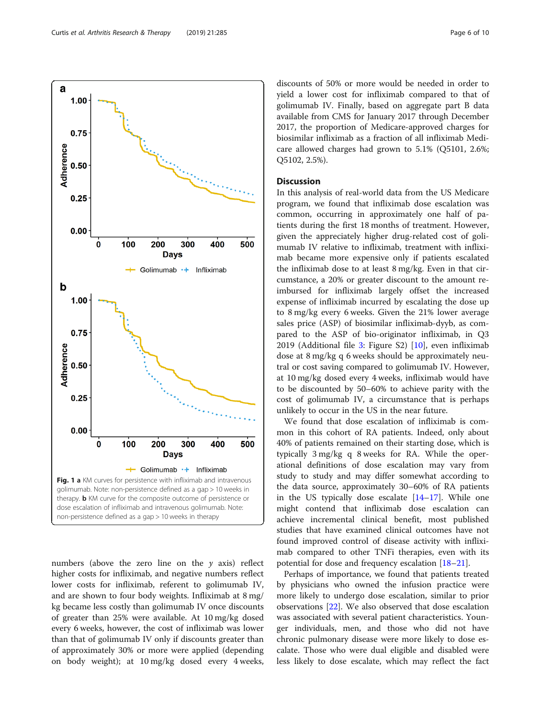numbers (above the zero line on the  $y$  axis) reflect higher costs for infliximab, and negative numbers reflect lower costs for infliximab, referent to golimumab IV, and are shown to four body weights. Infliximab at 8 mg/ kg became less costly than golimumab IV once discounts of greater than 25% were available. At 10 mg/kg dosed every 6 weeks, however, the cost of infliximab was lower than that of golimumab IV only if discounts greater than of approximately 30% or more were applied (depending on body weight); at 10 mg/kg dosed every 4 weeks, common, occurring in approximately one half of patients during the first 18 months of treatment. However, given the appreciately higher drug-related cost of golimumab IV relative to infliximab, treatment with infliximab became more expensive only if patients escalated the infliximab dose to at least 8 mg/kg. Even in that circumstance, a 20% or greater discount to the amount reimbursed for infliximab largely offset the increased expense of infliximab incurred by escalating the dose up to 8 mg/kg every 6 weeks. Given the 21% lower average sales price (ASP) of biosimilar infliximab-dyyb, as compared to the ASP of bio-originator infliximab, in Q3 2019 (Additional file [3:](#page-8-0) Figure S2) [[10\]](#page-9-0), even infliximab dose at 8 mg/kg q 6 weeks should be approximately neutral or cost saving compared to golimumab IV. However, at 10 mg/kg dosed every 4 weeks, infliximab would have to be discounted by 50–60% to achieve parity with the cost of golimumab IV, a circumstance that is perhaps unlikely to occur in the US in the near future.

We found that dose escalation of infliximab is common in this cohort of RA patients. Indeed, only about 40% of patients remained on their starting dose, which is typically 3 mg/kg q 8 weeks for RA. While the operational definitions of dose escalation may vary from study to study and may differ somewhat according to the data source, approximately 30–60% of RA patients in the US typically dose escalate  $[14–17]$  $[14–17]$  $[14–17]$ . While one might contend that infliximab dose escalation can achieve incremental clinical benefit, most published studies that have examined clinical outcomes have not found improved control of disease activity with infliximab compared to other TNFi therapies, even with its potential for dose and frequency escalation [[18](#page-9-0)–[21\]](#page-9-0).

Perhaps of importance, we found that patients treated by physicians who owned the infusion practice were more likely to undergo dose escalation, similar to prior observations [\[22](#page-9-0)]. We also observed that dose escalation was associated with several patient characteristics. Younger individuals, men, and those who did not have chronic pulmonary disease were more likely to dose escalate. Those who were dual eligible and disabled were less likely to dose escalate, which may reflect the fact

500  $\mathbf{0}$ 100 200 300 400 **Days** Golimumab -+ Infliximab

discounts of 50% or more would be needed in order to yield a lower cost for infliximab compared to that of golimumab IV. Finally, based on aggregate part B data available from CMS for January 2017 through December 2017, the proportion of Medicare-approved charges for biosimilar infliximab as a fraction of all infliximab Medicare allowed charges had grown to 5.1% (Q5101, 2.6%; Q5102, 2.5%).

# **Discussion**

In this analysis of real-world data from the US Medicare program, we found that infliximab dose escalation was

non-persistence defined as a gap > 10 weeks in therapy

<span id="page-5-0"></span>a

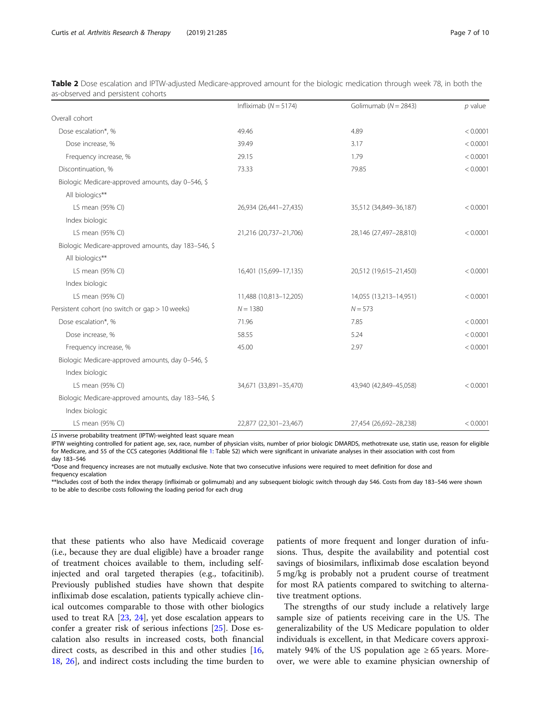|                                                     | Infliximab ( $N = 5174$ ) | Golimumab ( $N = 2843$ ) | $p$ value |
|-----------------------------------------------------|---------------------------|--------------------------|-----------|
| Overall cohort                                      |                           |                          |           |
| Dose escalation*, %                                 | 49.46                     | 4.89                     | < 0.0001  |
| Dose increase, %                                    | 39.49                     | 3.17                     | < 0.0001  |
| Frequency increase, %                               | 29.15                     | 1.79                     | < 0.0001  |
| Discontinuation, %                                  | 73.33                     | 79.85                    | < 0.0001  |
| Biologic Medicare-approved amounts, day 0-546, \$   |                           |                          |           |
| All biologics**                                     |                           |                          |           |
| LS mean (95% CI)                                    | 26,934 (26,441-27,435)    | 35,512 (34,849-36,187)   | < 0.0001  |
| Index biologic                                      |                           |                          |           |
| LS mean (95% CI)                                    | 21,216 (20,737-21,706)    | 28,146 (27,497-28,810)   | < 0.0001  |
| Biologic Medicare-approved amounts, day 183-546, \$ |                           |                          |           |
| All biologics**                                     |                           |                          |           |
| LS mean (95% CI)                                    | 16,401 (15,699-17,135)    | 20,512 (19,615-21,450)   | < 0.0001  |
| Index biologic                                      |                           |                          |           |
| LS mean (95% CI)                                    | 11,488 (10,813-12,205)    | 14,055 (13,213-14,951)   | < 0.0001  |
| Persistent cohort (no switch or gap > 10 weeks)     | $N = 1380$                | $N = 573$                |           |
| Dose escalation*, %                                 | 71.96                     | 7.85                     | < 0.0001  |
| Dose increase, %                                    | 58.55                     | 5.24                     | < 0.0001  |
| Frequency increase, %                               | 45.00                     | 2.97                     | < 0.0001  |
| Biologic Medicare-approved amounts, day 0-546, \$   |                           |                          |           |
| Index biologic                                      |                           |                          |           |
| LS mean (95% CI)                                    | 34,671 (33,891-35,470)    | 43,940 (42,849-45,058)   | < 0.0001  |
| Biologic Medicare-approved amounts, day 183-546, \$ |                           |                          |           |
| Index biologic                                      |                           |                          |           |
| LS mean (95% CI)                                    | 22,877 (22,301-23,467)    | 27,454 (26,692-28,238)   | < 0.0001  |

<span id="page-6-0"></span>Table 2 Dose escalation and IPTW-adjusted Medicare-approved amount for the biologic medication through week 78, in both the as-observed and persistent cohorts

LS inverse probability treatment (IPTW)-weighted least square mean

IPTW weighting controlled for patient age, sex, race, number of physician visits, number of prior biologic DMARDS, methotrexate use, statin use, reason for eligible for Medicare, and 55 of the CCS categories (Additional file [1](#page-8-0): Table S2) which were significant in univariate analyses in their association with cost from day 183–546

\*Dose and frequency increases are not mutually exclusive. Note that two consecutive infusions were required to meet definition for dose and frequency escalation

\*\*Includes cost of both the index therapy (infliximab or golimumab) and any subsequent biologic switch through day 546. Costs from day 183–546 were shown to be able to describe costs following the loading period for each drug

that these patients who also have Medicaid coverage (i.e., because they are dual eligible) have a broader range of treatment choices available to them, including selfinjected and oral targeted therapies (e.g., tofacitinib). Previously published studies have shown that despite infliximab dose escalation, patients typically achieve clinical outcomes comparable to those with other biologics used to treat RA [[23](#page-9-0), [24\]](#page-9-0), yet dose escalation appears to confer a greater risk of serious infections [[25\]](#page-9-0). Dose escalation also results in increased costs, both financial direct costs, as described in this and other studies  $[16,$  $[16,$  $[16,$ [18,](#page-9-0) [26](#page-9-0)], and indirect costs including the time burden to patients of more frequent and longer duration of infusions. Thus, despite the availability and potential cost savings of biosimilars, infliximab dose escalation beyond 5 mg/kg is probably not a prudent course of treatment for most RA patients compared to switching to alternative treatment options.

The strengths of our study include a relatively large sample size of patients receiving care in the US. The generalizability of the US Medicare population to older individuals is excellent, in that Medicare covers approximately 94% of the US population age  $\geq 65$  years. Moreover, we were able to examine physician ownership of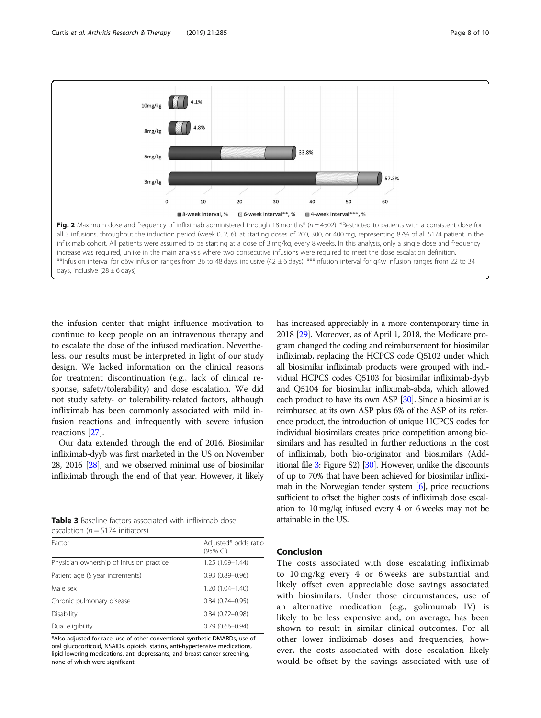<span id="page-7-0"></span>

the infusion center that might influence motivation to continue to keep people on an intravenous therapy and to escalate the dose of the infused medication. Nevertheless, our results must be interpreted in light of our study design. We lacked information on the clinical reasons for treatment discontinuation (e.g., lack of clinical response, safety/tolerability) and dose escalation. We did not study safety- or tolerability-related factors, although infliximab has been commonly associated with mild infusion reactions and infrequently with severe infusion reactions [[27\]](#page-9-0).

Our data extended through the end of 2016. Biosimilar infliximab-dyyb was first marketed in the US on November 28, 2016 [[28](#page-9-0)], and we observed minimal use of biosimilar infliximab through the end of that year. However, it likely

| <b>Table 3</b> Baseline factors associated with infliximab dose |  |  |  |
|-----------------------------------------------------------------|--|--|--|
| escalation ( $n = 5174$ initiators)                             |  |  |  |

| Factor                                   | Adjusted* odds ratio<br>(95% CI) |
|------------------------------------------|----------------------------------|
| Physician ownership of infusion practice | $1.25(1.09 - 1.44)$              |
| Patient age (5 year increments)          | $0.93(0.89 - 0.96)$              |
| Male sex                                 | $1.20(1.04 - 1.40)$              |
| Chronic pulmonary disease                | $0.84(0.74 - 0.95)$              |
| Disability                               | $0.84(0.72 - 0.98)$              |
| Dual eligibility                         | $0.79(0.66 - 0.94)$              |

\*Also adjusted for race, use of other conventional synthetic DMARDs, use of oral glucocorticoid, NSAIDs, opioids, statins, anti-hypertensive medications, lipid lowering medications, anti-depressants, and breast cancer screening, none of which were significant

has increased appreciably in a more contemporary time in 2018 [\[29\]](#page-9-0). Moreover, as of April 1, 2018, the Medicare program changed the coding and reimbursement for biosimilar infliximab, replacing the HCPCS code Q5102 under which all biosimilar infliximab products were grouped with individual HCPCS codes Q5103 for biosimilar infliximab-dyyb and Q5104 for biosimilar infliximab-abda, which allowed each product to have its own ASP [[30](#page-9-0)]. Since a biosimilar is reimbursed at its own ASP plus 6% of the ASP of its reference product, the introduction of unique HCPCS codes for individual biosimilars creates price competition among biosimilars and has resulted in further reductions in the cost of infliximab, both bio-originator and biosimilars (Add-itional file [3](#page-8-0): Figure S2) [\[30](#page-9-0)]. However, unlike the discounts of up to 70% that have been achieved for biosimilar infliximab in the Norwegian tender system [\[6\]](#page-9-0), price reductions sufficient to offset the higher costs of infliximab dose escalation to 10 mg/kg infused every 4 or 6 weeks may not be attainable in the US.

# Conclusion

The costs associated with dose escalating infliximab to 10 mg/kg every 4 or 6 weeks are substantial and likely offset even appreciable dose savings associated with biosimilars. Under those circumstances, use of an alternative medication (e.g., golimumab IV) is likely to be less expensive and, on average, has been shown to result in similar clinical outcomes. For all other lower infliximab doses and frequencies, however, the costs associated with dose escalation likely would be offset by the savings associated with use of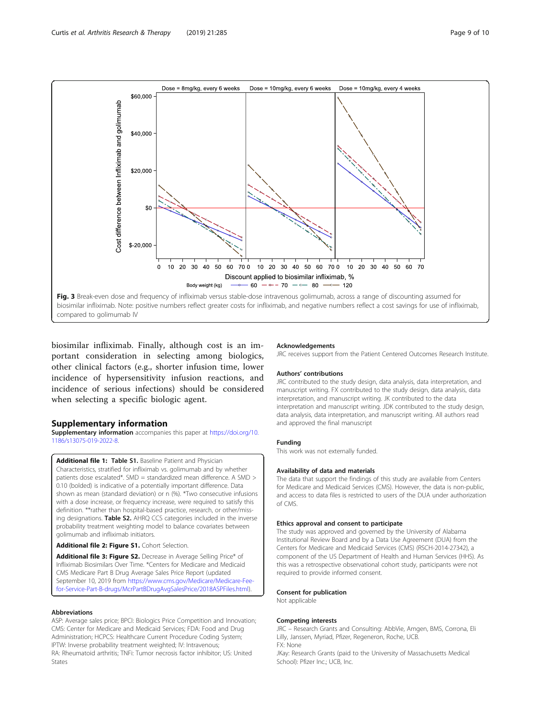<span id="page-8-0"></span>

biosimilar infliximab. Finally, although cost is an important consideration in selecting among biologics, other clinical factors (e.g., shorter infusion time, lower incidence of hypersensitivity infusion reactions, and incidence of serious infections) should be considered when selecting a specific biologic agent.

# Supplementary information

Supplementary information accompanies this paper at [https://doi.org/10.](https://doi.org/10.1186/s13075-019-2022-8) [1186/s13075-019-2022-8.](https://doi.org/10.1186/s13075-019-2022-8)

Additional file 1: Table S1. Baseline Patient and Physician Characteristics, stratified for infliximab vs. golimumab and by whether patients dose escalated\*. SMD = standardized mean difference. A SMD > 0.10 (bolded) is indicative of a potentially important difference. Data shown as mean (standard deviation) or n (%). \*Two consecutive infusions with a dose increase, or frequency increase, were required to satisfy this definition. \*\*rather than hospital-based practice, research, or other/missing designations. Table S2. AHRQ CCS categories included in the inverse probability treatment weighting model to balance covariates between golimumab and infliximab initiators.

#### Additional file 2: Figure S1. Cohort Selection.

Additional file 3: Figure S2. Decrease in Average Selling Price\* of Infliximab Biosimilars Over Time. \*Centers for Medicare and Medicaid CMS Medicare Part B Drug Average Sales Price Report (updated September 10, 2019 from [https://www.cms.gov/Medicare/Medicare-Fee](https://www.cms.gov/Medicare/Medicare-Fee-for-Service-Part-B-drugs/McrPartBDrugAvgSalesPrice/2018ASPFiles.html)[for-Service-Part-B-drugs/McrPartBDrugAvgSalesPrice/2018ASPFiles.html\)](https://www.cms.gov/Medicare/Medicare-Fee-for-Service-Part-B-drugs/McrPartBDrugAvgSalesPrice/2018ASPFiles.html).

# Abbreviations

ASP: Average sales price; BPCI: Biologics Price Competition and Innovation; CMS: Center for Medicare and Medicaid Services; FDA: Food and Drug Administration; HCPCS: Healthcare Current Procedure Coding System; IPTW: Inverse probability treatment weighted; IV: Intravenous; RA: Rheumatoid arthritis; TNFi: Tumor necrosis factor inhibitor; US: United States

#### **Acknowledgements**

JRC receives support from the Patient Centered Outcomes Research Institute.

## Authors' contributions

JRC contributed to the study design, data analysis, data interpretation, and manuscript writing. FX contributed to the study design, data analysis, data interpretation, and manuscript writing. JK contributed to the data interpretation and manuscript writing. JDK contributed to the study design, data analysis, data interpretation, and manuscript writing. All authors read and approved the final manuscript

#### Funding

This work was not externally funded.

#### Availability of data and materials

The data that support the findings of this study are available from Centers for Medicare and Medicaid Services (CMS). However, the data is non-public, and access to data files is restricted to users of the DUA under authorization of CMS.

## Ethics approval and consent to participate

The study was approved and governed by the University of Alabama Institutional Review Board and by a Data Use Agreement (DUA) from the Centers for Medicare and Medicaid Services (CMS) (RSCH-2014-27342), a component of the US Department of Health and Human Services (HHS). As this was a retrospective observational cohort study, participants were not required to provide informed consent.

#### Consent for publication

Not applicable

#### Competing interests

JRC – Research Grants and Consulting: AbbVie, Amgen, BMS, Corrona, Eli Lilly, Janssen, Myriad, Pfizer, Regeneron, Roche, UCB. FX: None

JKay: Research Grants (paid to the University of Massachusetts Medical School): Pfizer Inc.; UCB, Inc.